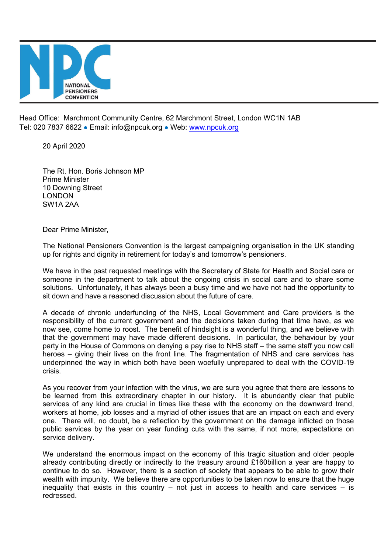

Head Office: Marchmont Community Centre, 62 Marchmont Street, London WC1N 1AB Tel: 020 7837 6622 · Email: info@npcuk.org · Web: www.npcuk.org

20 April 2020

The Rt. Hon. Boris Johnson MP Prime Minister 10 Downing Street LONDON SW1A 2AA

Dear Prime Minister,

The National Pensioners Convention is the largest campaigning organisation in the UK standing up for rights and dignity in retirement for today's and tomorrow's pensioners.

We have in the past requested meetings with the Secretary of State for Health and Social care or someone in the department to talk about the ongoing crisis in social care and to share some solutions. Unfortunately, it has always been a busy time and we have not had the opportunity to sit down and have a reasoned discussion about the future of care.

A decade of chronic underfunding of the NHS, Local Government and Care providers is the responsibility of the current government and the decisions taken during that time have, as we now see, come home to roost. The benefit of hindsight is a wonderful thing, and we believe with that the government may have made different decisions. In particular, the behaviour by your party in the House of Commons on denying a pay rise to NHS staff – the same staff you now call heroes – giving their lives on the front line. The fragmentation of NHS and care services has underpinned the way in which both have been woefully unprepared to deal with the COVID-19 crisis.

As you recover from your infection with the virus, we are sure you agree that there are lessons to be learned from this extraordinary chapter in our history. It is abundantly clear that public services of any kind are crucial in times like these with the economy on the downward trend, workers at home, job losses and a myriad of other issues that are an impact on each and every one. There will, no doubt, be a reflection by the government on the damage inflicted on those public services by the year on year funding cuts with the same, if not more, expectations on service delivery.

We understand the enormous impact on the economy of this tragic situation and older people already contributing directly or indirectly to the treasury around £160billion a year are happy to continue to do so. However, there is a section of society that appears to be able to grow their wealth with impunity. We believe there are opportunities to be taken now to ensure that the huge inequality that exists in this country – not just in access to health and care services – is redressed.